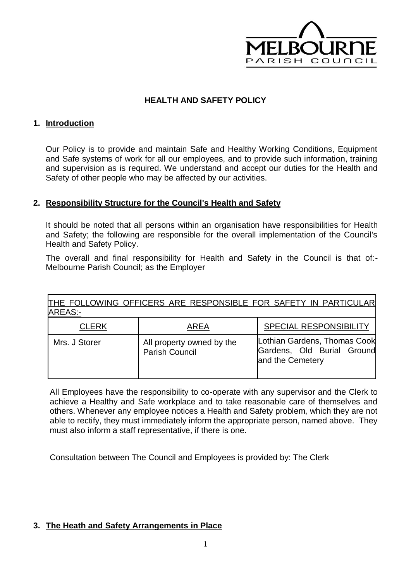

## **HEALTH AND SAFETY POLICY**

## **1. Introduction**

Our Policy is to provide and maintain Safe and Healthy Working Conditions, Equipment and Safe systems of work for all our employees, and to provide such information, training and supervision as is required. We understand and accept our duties for the Health and Safety of other people who may be affected by our activities.

## **2. Responsibility Structure for the Council's Health and Safety**

It should be noted that all persons within an organisation have responsibilities for Health and Safety; the following are responsible for the overall implementation of the Council's Health and Safety Policy.

The overall and final responsibility for Health and Safety in the Council is that of:- Melbourne Parish Council; as the Employer

| THE FOLLOWING OFFICERS ARE RESPONSIBLE FOR SAFETY IN PARTICULAR<br>AREAS:- |                                                    |                                                                                |
|----------------------------------------------------------------------------|----------------------------------------------------|--------------------------------------------------------------------------------|
| <b>CLERK</b>                                                               | AREA                                               | <b>SPECIAL RESPONSIBILITY</b>                                                  |
| Mrs. J Storer                                                              | All property owned by the<br><b>Parish Council</b> | Lothian Gardens, Thomas Cook<br>Gardens, Old Burial Ground<br>and the Cemetery |

All Employees have the responsibility to co-operate with any supervisor and the Clerk to achieve a Healthy and Safe workplace and to take reasonable care of themselves and others. Whenever any employee notices a Health and Safety problem, which they are not able to rectify, they must immediately inform the appropriate person, named above. They must also inform a staff representative, if there is one.

Consultation between The Council and Employees is provided by: The Clerk

## **3. The Heath and Safety Arrangements in Place**